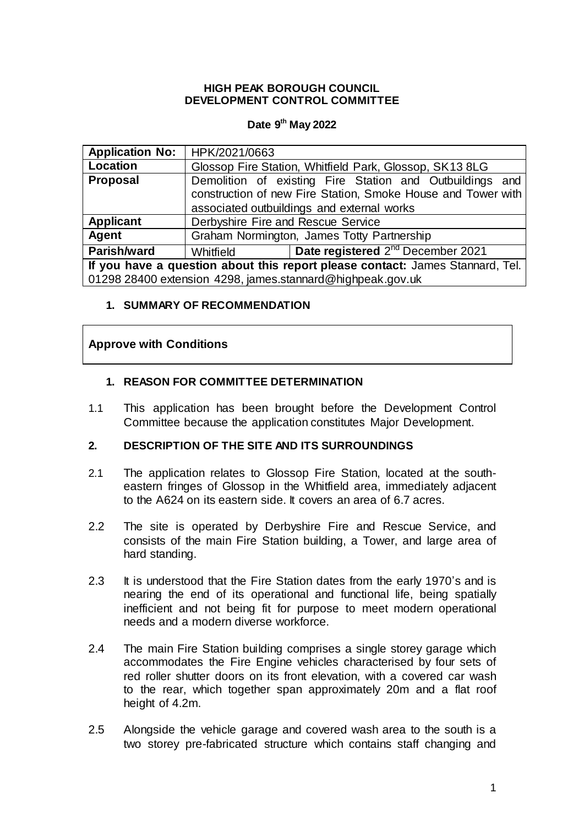#### **HIGH PEAK BOROUGH COUNCIL DEVELOPMENT CONTROL COMMITTEE**

## **Date 9 th May 2022**

| <b>Application No:</b>                                                        | HPK/2021/0663                                                                                                                                                          |                                               |
|-------------------------------------------------------------------------------|------------------------------------------------------------------------------------------------------------------------------------------------------------------------|-----------------------------------------------|
| Location                                                                      | Glossop Fire Station, Whitfield Park, Glossop, SK13 8LG                                                                                                                |                                               |
| <b>Proposal</b>                                                               | Demolition of existing Fire Station and Outbuildings and<br>construction of new Fire Station, Smoke House and Tower with<br>associated outbuildings and external works |                                               |
| <b>Applicant</b>                                                              | Derbyshire Fire and Rescue Service                                                                                                                                     |                                               |
| <b>Agent</b>                                                                  | Graham Normington, James Totty Partnership                                                                                                                             |                                               |
| Parish/ward                                                                   | Whitfield                                                                                                                                                              | Date registered 2 <sup>nd</sup> December 2021 |
| If you have a question about this report please contact: James Stannard, Tel. |                                                                                                                                                                        |                                               |
| 01298 28400 extension 4298, james.stannard@highpeak.gov.uk                    |                                                                                                                                                                        |                                               |

#### **1. SUMMARY OF RECOMMENDATION**

## **Approve with Conditions**

#### **1. REASON FOR COMMITTEE DETERMINATION**

1.1 This application has been brought before the Development Control Committee because the application constitutes Major Development.

#### **2. DESCRIPTION OF THE SITE AND ITS SURROUNDINGS**

- 2.1 The application relates to Glossop Fire Station, located at the southeastern fringes of Glossop in the Whitfield area, immediately adjacent to the A624 on its eastern side. It covers an area of 6.7 acres.
- 2.2 The site is operated by Derbyshire Fire and Rescue Service, and consists of the main Fire Station building, a Tower, and large area of hard standing.
- 2.3 It is understood that the Fire Station dates from the early 1970's and is nearing the end of its operational and functional life, being spatially inefficient and not being fit for purpose to meet modern operational needs and a modern diverse workforce.
- 2.4 The main Fire Station building comprises a single storey garage which accommodates the Fire Engine vehicles characterised by four sets of red roller shutter doors on its front elevation, with a covered car wash to the rear, which together span approximately 20m and a flat roof height of 4.2m.
- 2.5 Alongside the vehicle garage and covered wash area to the south is a two storey pre-fabricated structure which contains staff changing and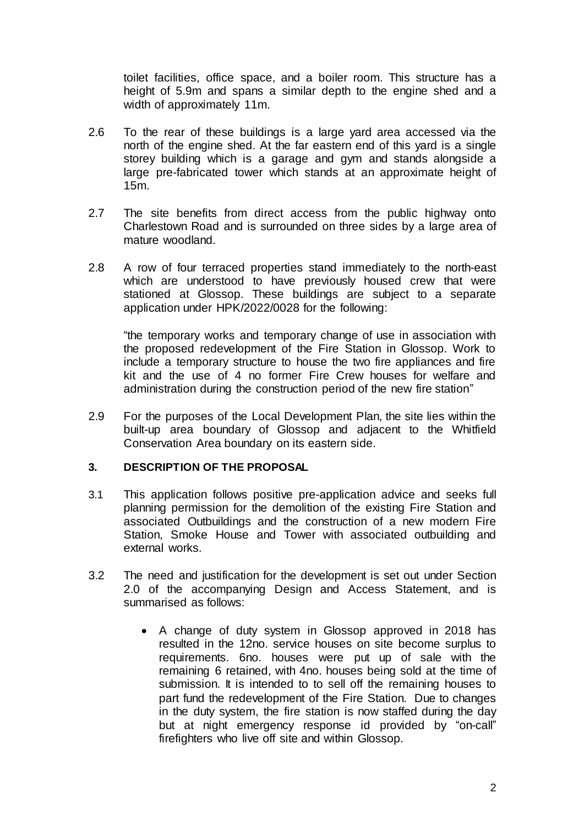toilet facilities, office space, and a boiler room. This structure has a height of 5.9m and spans a similar depth to the engine shed and a width of approximately 11m.

- 2.6 To the rear of these buildings is a large yard area accessed via the north of the engine shed. At the far eastern end of this yard is a single storey building which is a garage and gym and stands alongside a large pre-fabricated tower which stands at an approximate height of 15m.
- 2.7 The site benefits from direct access from the public highway onto Charlestown Road and is surrounded on three sides by a large area of mature woodland.
- 2.8 A row of four terraced properties stand immediately to the north-east which are understood to have previously housed crew that were stationed at Glossop. These buildings are subject to a separate application under HPK/2022/0028 for the following:

"the temporary works and temporary change of use in association with the proposed redevelopment of the Fire Station in Glossop. Work to include a temporary structure to house the two fire appliances and fire kit and the use of 4 no former Fire Crew houses for welfare and administration during the construction period of the new fire station"

2.9 For the purposes of the Local Development Plan, the site lies within the built-up area boundary of Glossop and adjacent to the Whitfield Conservation Area boundary on its eastern side.

#### **3. DESCRIPTION OF THE PROPOSAL**

- 3.1 This application follows positive pre-application advice and seeks full planning permission for the demolition of the existing Fire Station and associated Outbuildings and the construction of a new modern Fire Station, Smoke House and Tower with associated outbuilding and external works.
- 3.2 The need and justification for the development is set out under Section 2.0 of the accompanying Design and Access Statement, and is summarised as follows:
	- A change of duty system in Glossop approved in 2018 has resulted in the 12no. service houses on site become surplus to requirements. 6no. houses were put up of sale with the remaining 6 retained, with 4no. houses being sold at the time of submission. It is intended to to sell off the remaining houses to part fund the redevelopment of the Fire Station. Due to changes in the duty system, the fire station is now staffed during the day but at night emergency response id provided by "on-call" firefighters who live off site and within Glossop.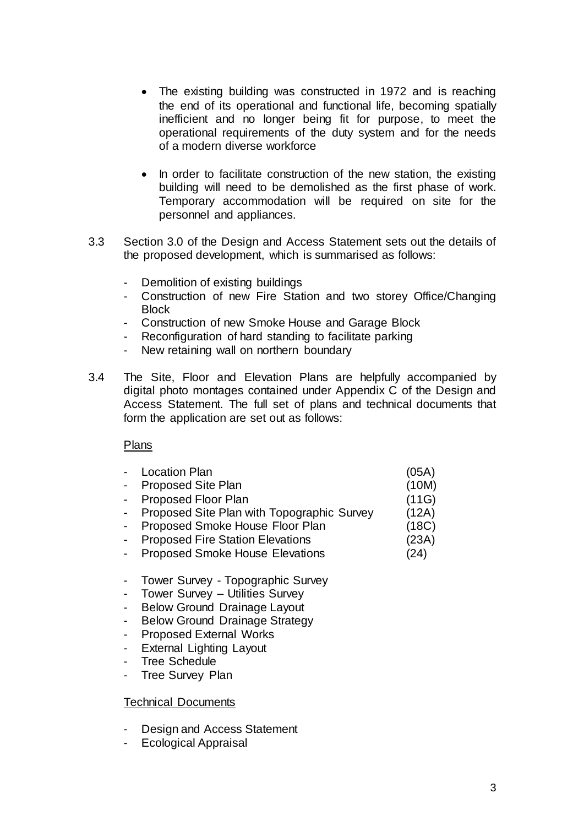- The existing building was constructed in 1972 and is reaching the end of its operational and functional life, becoming spatially inefficient and no longer being fit for purpose, to meet the operational requirements of the duty system and for the needs of a modern diverse workforce
- In order to facilitate construction of the new station, the existing building will need to be demolished as the first phase of work. Temporary accommodation will be required on site for the personnel and appliances.
- 3.3 Section 3.0 of the Design and Access Statement sets out the details of the proposed development, which is summarised as follows:
	- Demolition of existing buildings
	- Construction of new Fire Station and two storey Office/Changing **Block**
	- Construction of new Smoke House and Garage Block
	- Reconfiguration of hard standing to facilitate parking
	- New retaining wall on northern boundary
- 3.4 The Site, Floor and Elevation Plans are helpfully accompanied by digital photo montages contained under Appendix C of the Design and Access Statement. The full set of plans and technical documents that form the application are set out as follows:

#### Plans

| - Location Plan                              | (05A) |
|----------------------------------------------|-------|
| - Proposed Site Plan                         | (10M) |
| - Proposed Floor Plan                        | (11G) |
| - Proposed Site Plan with Topographic Survey | (12A) |
| Proposed Smoke House Floor Plan              | (18C) |
| <b>Proposed Fire Station Elevations</b>      | (23A) |
| <b>Proposed Smoke House Elevations</b>       | (24)  |
|                                              |       |

- Tower Survey Topographic Survey
- Tower Survey Utilities Survey
- Below Ground Drainage Layout
- Below Ground Drainage Strategy
- Proposed External Works
- External Lighting Layout
- Tree Schedule
- Tree Survey Plan

#### Technical Documents

- Design and Access Statement
- Ecological Appraisal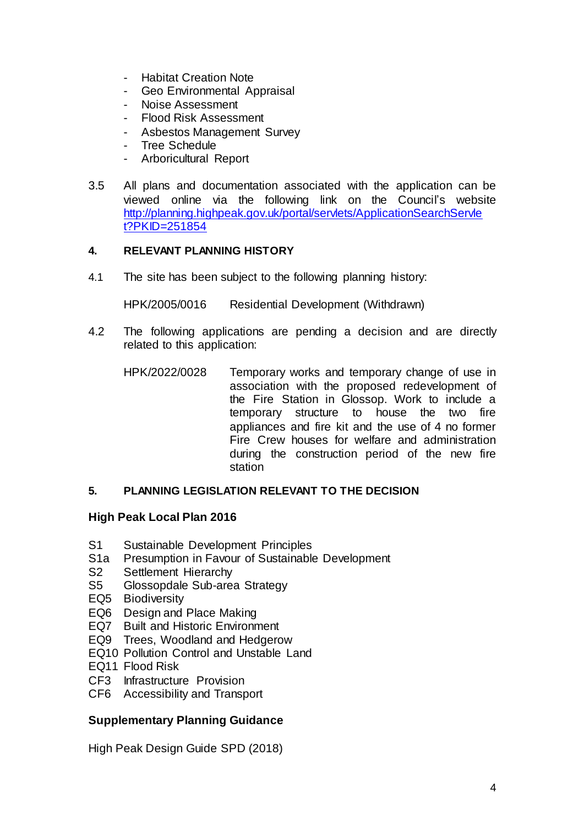- Habitat Creation Note
- Geo Environmental Appraisal
- Noise Assessment
- Flood Risk Assessment
- Asbestos Management Survey
- Tree Schedule
- Arboricultural Report
- 3.5 All plans and documentation associated with the application can be viewed online via the following link on the Council's website [http://planning.highpeak.gov.uk/portal/servlets/ApplicationSearchServle](http://planning.highpeak.gov.uk/portal/servlets/ApplicationSearchServlet?PKID=251854) [t?PKID=251854](http://planning.highpeak.gov.uk/portal/servlets/ApplicationSearchServlet?PKID=251854)

#### **4. RELEVANT PLANNING HISTORY**

4.1 The site has been subject to the following planning history:

HPK/2005/0016 Residential Development (Withdrawn)

- 4.2 The following applications are pending a decision and are directly related to this application:
	- HPK/2022/0028 Temporary works and temporary change of use in association with the proposed redevelopment of the Fire Station in Glossop. Work to include a temporary structure to house the two fire appliances and fire kit and the use of 4 no former Fire Crew houses for welfare and administration during the construction period of the new fire station

#### **5. PLANNING LEGISLATION RELEVANT TO THE DECISION**

#### **High Peak Local Plan 2016**

- S1 Sustainable Development Principles
- S1a Presumption in Favour of Sustainable Development
- S2 Settlement Hierarchy
- S5 Glossopdale Sub-area Strategy
- EQ5 Biodiversity
- EQ6 Design and Place Making
- EQ7 Built and Historic Environment
- EQ9 Trees, Woodland and Hedgerow
- EQ10 Pollution Control and Unstable Land
- EQ11 Flood Risk
- CF3 Infrastructure Provision
- CF6 Accessibility and Transport

## **Supplementary Planning Guidance**

High Peak Design Guide SPD (2018)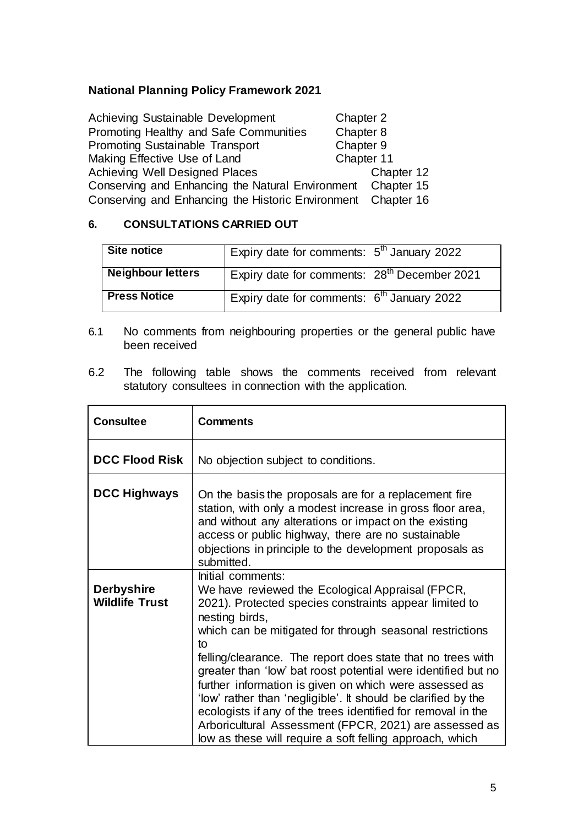## **National Planning Policy Framework 2021**

| Achieving Sustainable Development                            | Chapter 2 |            |
|--------------------------------------------------------------|-----------|------------|
| Promoting Healthy and Safe Communities                       | Chapter 8 |            |
| Chapter 9<br><b>Promoting Sustainable Transport</b>          |           |            |
| Chapter 11<br>Making Effective Use of Land                   |           |            |
| Achieving Well Designed Places                               |           | Chapter 12 |
| Conserving and Enhancing the Natural Environment Chapter 15  |           |            |
| Conserving and Enhancing the Historic Environment Chapter 16 |           |            |

#### **6. CONSULTATIONS CARRIED OUT**

| Site notice              | Expiry date for comments: $5th$ January 2022             |  |
|--------------------------|----------------------------------------------------------|--|
| <b>Neighbour letters</b> | Expiry date for comments: 28 <sup>th</sup> December 2021 |  |
| <b>Press Notice</b>      | Expiry date for comments: $6th$ January 2022             |  |

- 6.1 No comments from neighbouring properties or the general public have been received
- 6.2 The following table shows the comments received from relevant statutory consultees in connection with the application.

| <b>Consultee</b>                           | <b>Comments</b>                                                                                                                                                                                                                                                                                                                                                                                                                                                                                                                                                                                                                                                      |
|--------------------------------------------|----------------------------------------------------------------------------------------------------------------------------------------------------------------------------------------------------------------------------------------------------------------------------------------------------------------------------------------------------------------------------------------------------------------------------------------------------------------------------------------------------------------------------------------------------------------------------------------------------------------------------------------------------------------------|
| <b>DCC Flood Risk</b>                      | No objection subject to conditions.                                                                                                                                                                                                                                                                                                                                                                                                                                                                                                                                                                                                                                  |
| <b>DCC Highways</b>                        | On the basis the proposals are for a replacement fire<br>station, with only a modest increase in gross floor area,<br>and without any alterations or impact on the existing<br>access or public highway, there are no sustainable<br>objections in principle to the development proposals as<br>submitted.                                                                                                                                                                                                                                                                                                                                                           |
| <b>Derbyshire</b><br><b>Wildlife Trust</b> | Initial comments:<br>We have reviewed the Ecological Appraisal (FPCR,<br>2021). Protected species constraints appear limited to<br>nesting birds,<br>which can be mitigated for through seasonal restrictions<br>to<br>felling/clearance. The report does state that no trees with<br>greater than 'low' bat roost potential were identified but no<br>further information is given on which were assessed as<br>'low' rather than 'negligible'. It should be clarified by the<br>ecologists if any of the trees identified for removal in the<br>Arboricultural Assessment (FPCR, 2021) are assessed as<br>low as these will require a soft felling approach, which |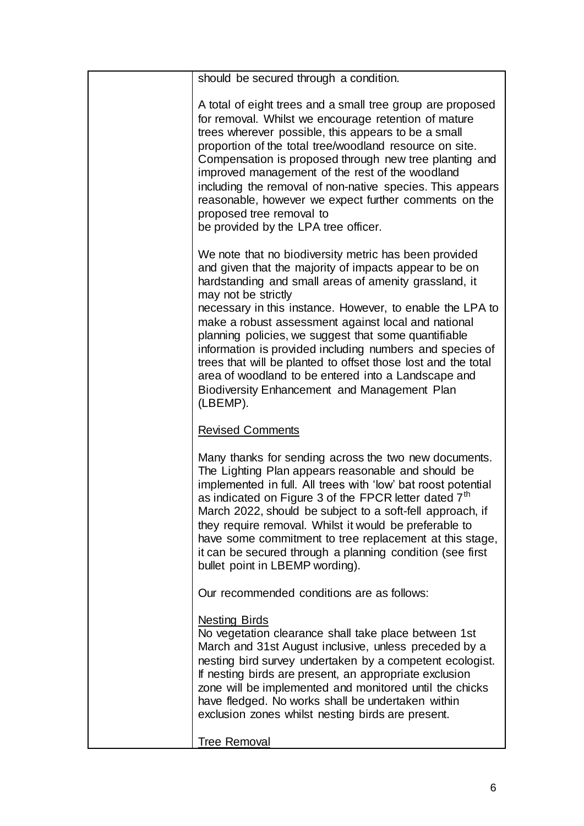| should be secured through a condition.                                                                                                                                                                                                                                                                                                                                                                                                                                                                                                      |
|---------------------------------------------------------------------------------------------------------------------------------------------------------------------------------------------------------------------------------------------------------------------------------------------------------------------------------------------------------------------------------------------------------------------------------------------------------------------------------------------------------------------------------------------|
| A total of eight trees and a small tree group are proposed<br>for removal. Whilst we encourage retention of mature<br>trees wherever possible, this appears to be a small<br>proportion of the total tree/woodland resource on site.<br>Compensation is proposed through new tree planting and<br>improved management of the rest of the woodland<br>including the removal of non-native species. This appears<br>reasonable, however we expect further comments on the<br>proposed tree removal to<br>be provided by the LPA tree officer. |
| We note that no biodiversity metric has been provided<br>and given that the majority of impacts appear to be on<br>hardstanding and small areas of amenity grassland, it<br>may not be strictly                                                                                                                                                                                                                                                                                                                                             |
| necessary in this instance. However, to enable the LPA to<br>make a robust assessment against local and national<br>planning policies, we suggest that some quantifiable<br>information is provided including numbers and species of<br>trees that will be planted to offset those lost and the total<br>area of woodland to be entered into a Landscape and<br>Biodiversity Enhancement and Management Plan<br>(LBEMP).                                                                                                                    |
| <b>Revised Comments</b>                                                                                                                                                                                                                                                                                                                                                                                                                                                                                                                     |
| Many thanks for sending across the two new documents.<br>The Lighting Plan appears reasonable and should be<br>implemented in full. All trees with 'low' bat roost potential<br>as indicated on Figure 3 of the FPCR letter dated 7 <sup>th</sup><br>March 2022, should be subject to a soft-fell approach, if<br>they require removal. Whilst it would be preferable to<br>have some commitment to tree replacement at this stage,<br>it can be secured through a planning condition (see first<br>bullet point in LBEMP wording).         |
| Our recommended conditions are as follows:                                                                                                                                                                                                                                                                                                                                                                                                                                                                                                  |
| <b>Nesting Birds</b><br>No vegetation clearance shall take place between 1st<br>March and 31st August inclusive, unless preceded by a<br>nesting bird survey undertaken by a competent ecologist.<br>If nesting birds are present, an appropriate exclusion<br>zone will be implemented and monitored until the chicks<br>have fledged. No works shall be undertaken within<br>exclusion zones whilst nesting birds are present.                                                                                                            |
| <b>Tree Removal</b>                                                                                                                                                                                                                                                                                                                                                                                                                                                                                                                         |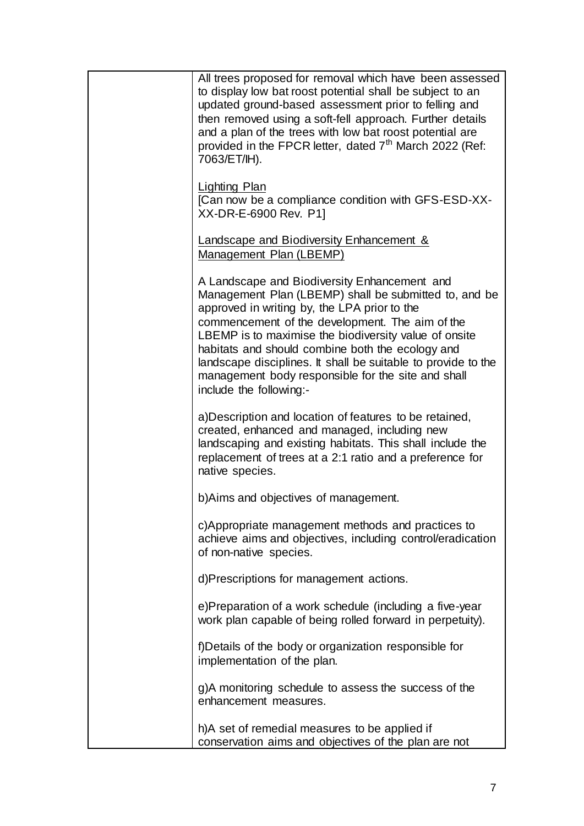| All trees proposed for removal which have been assessed<br>to display low bat roost potential shall be subject to an<br>updated ground-based assessment prior to felling and<br>then removed using a soft-fell approach. Further details<br>and a plan of the trees with low bat roost potential are<br>provided in the FPCR letter, dated 7 <sup>th</sup> March 2022 (Ref:<br>7063/ET/IH).                                                                             |
|-------------------------------------------------------------------------------------------------------------------------------------------------------------------------------------------------------------------------------------------------------------------------------------------------------------------------------------------------------------------------------------------------------------------------------------------------------------------------|
| Lighting Plan<br>[Can now be a compliance condition with GFS-ESD-XX-<br>XX-DR-E-6900 Rev. P1]                                                                                                                                                                                                                                                                                                                                                                           |
| <b>Landscape and Biodiversity Enhancement &amp;</b><br>Management Plan (LBEMP)                                                                                                                                                                                                                                                                                                                                                                                          |
| A Landscape and Biodiversity Enhancement and<br>Management Plan (LBEMP) shall be submitted to, and be<br>approved in writing by, the LPA prior to the<br>commencement of the development. The aim of the<br>LBEMP is to maximise the biodiversity value of onsite<br>habitats and should combine both the ecology and<br>landscape disciplines. It shall be suitable to provide to the<br>management body responsible for the site and shall<br>include the following:- |
| a) Description and location of features to be retained,<br>created, enhanced and managed, including new<br>landscaping and existing habitats. This shall include the<br>replacement of trees at a 2:1 ratio and a preference for<br>native species.                                                                                                                                                                                                                     |
| b) Aims and objectives of management.                                                                                                                                                                                                                                                                                                                                                                                                                                   |
| c)Appropriate management methods and practices to<br>achieve aims and objectives, including control/eradication<br>of non-native species.                                                                                                                                                                                                                                                                                                                               |
| d)Prescriptions for management actions.                                                                                                                                                                                                                                                                                                                                                                                                                                 |
| e)Preparation of a work schedule (including a five-year<br>work plan capable of being rolled forward in perpetuity).                                                                                                                                                                                                                                                                                                                                                    |
| f)Details of the body or organization responsible for<br>implementation of the plan.                                                                                                                                                                                                                                                                                                                                                                                    |
| g)A monitoring schedule to assess the success of the<br>enhancement measures.                                                                                                                                                                                                                                                                                                                                                                                           |
| h)A set of remedial measures to be applied if<br>conservation aims and objectives of the plan are not                                                                                                                                                                                                                                                                                                                                                                   |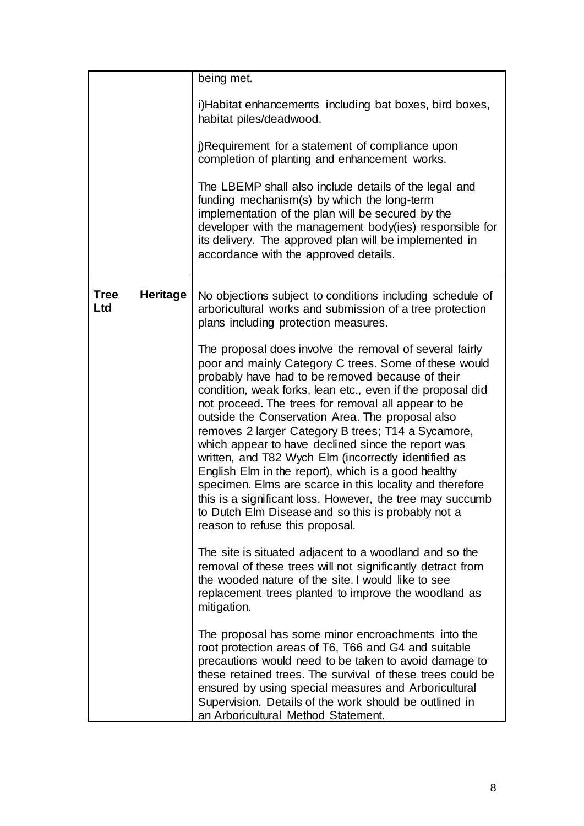|                    |                 | being met.                                                                                                                                                                                                                                                                                                                                                                                                                                                                                                                                                                                                                                                                                                                                                                                 |
|--------------------|-----------------|--------------------------------------------------------------------------------------------------------------------------------------------------------------------------------------------------------------------------------------------------------------------------------------------------------------------------------------------------------------------------------------------------------------------------------------------------------------------------------------------------------------------------------------------------------------------------------------------------------------------------------------------------------------------------------------------------------------------------------------------------------------------------------------------|
|                    |                 | i)Habitat enhancements including bat boxes, bird boxes,<br>habitat piles/deadwood.                                                                                                                                                                                                                                                                                                                                                                                                                                                                                                                                                                                                                                                                                                         |
|                    |                 | j)Requirement for a statement of compliance upon<br>completion of planting and enhancement works.                                                                                                                                                                                                                                                                                                                                                                                                                                                                                                                                                                                                                                                                                          |
|                    |                 | The LBEMP shall also include details of the legal and<br>funding mechanism(s) by which the long-term<br>implementation of the plan will be secured by the<br>developer with the management body(ies) responsible for<br>its delivery. The approved plan will be implemented in<br>accordance with the approved details.                                                                                                                                                                                                                                                                                                                                                                                                                                                                    |
| <b>Tree</b><br>Ltd | <b>Heritage</b> | No objections subject to conditions including schedule of<br>arboricultural works and submission of a tree protection<br>plans including protection measures.                                                                                                                                                                                                                                                                                                                                                                                                                                                                                                                                                                                                                              |
|                    |                 | The proposal does involve the removal of several fairly<br>poor and mainly Category C trees. Some of these would<br>probably have had to be removed because of their<br>condition, weak forks, lean etc., even if the proposal did<br>not proceed. The trees for removal all appear to be<br>outside the Conservation Area. The proposal also<br>removes 2 larger Category B trees; T14 a Sycamore,<br>which appear to have declined since the report was<br>written, and T82 Wych Elm (incorrectly identified as<br>English Elm in the report), which is a good healthy<br>specimen. Elms are scarce in this locality and therefore<br>this is a significant loss. However, the tree may succumb<br>to Dutch Elm Disease and so this is probably not a<br>reason to refuse this proposal. |
|                    |                 | The site is situated adjacent to a woodland and so the<br>removal of these trees will not significantly detract from<br>the wooded nature of the site. I would like to see<br>replacement trees planted to improve the woodland as<br>mitigation.                                                                                                                                                                                                                                                                                                                                                                                                                                                                                                                                          |
|                    |                 | The proposal has some minor encroachments into the<br>root protection areas of T6, T66 and G4 and suitable<br>precautions would need to be taken to avoid damage to<br>these retained trees. The survival of these trees could be<br>ensured by using special measures and Arboricultural<br>Supervision. Details of the work should be outlined in<br>an Arboricultural Method Statement.                                                                                                                                                                                                                                                                                                                                                                                                 |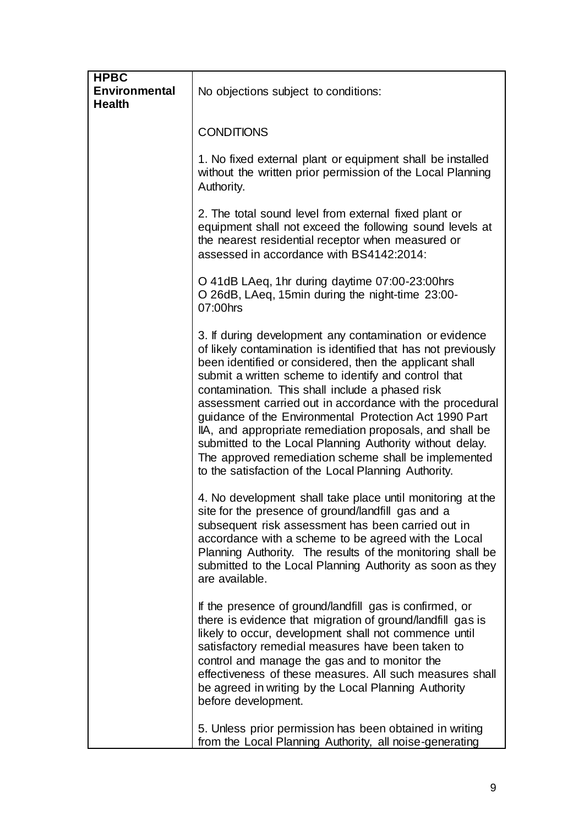| <b>HPBC</b><br>Environmental<br><b>Health</b> | No objections subject to conditions:                                                                                                                                                                                                                                                                                                                                                                                                                                                                                                                                                                                                                        |
|-----------------------------------------------|-------------------------------------------------------------------------------------------------------------------------------------------------------------------------------------------------------------------------------------------------------------------------------------------------------------------------------------------------------------------------------------------------------------------------------------------------------------------------------------------------------------------------------------------------------------------------------------------------------------------------------------------------------------|
|                                               | <b>CONDITIONS</b>                                                                                                                                                                                                                                                                                                                                                                                                                                                                                                                                                                                                                                           |
|                                               | 1. No fixed external plant or equipment shall be installed<br>without the written prior permission of the Local Planning<br>Authority.                                                                                                                                                                                                                                                                                                                                                                                                                                                                                                                      |
|                                               | 2. The total sound level from external fixed plant or<br>equipment shall not exceed the following sound levels at<br>the nearest residential receptor when measured or<br>assessed in accordance with BS4142:2014:                                                                                                                                                                                                                                                                                                                                                                                                                                          |
|                                               | O 41dB LAeq, 1hr during daytime 07:00-23:00hrs<br>O 26dB, LAeq, 15min during the night-time 23:00-<br>07:00hrs                                                                                                                                                                                                                                                                                                                                                                                                                                                                                                                                              |
|                                               | 3. If during development any contamination or evidence<br>of likely contamination is identified that has not previously<br>been identified or considered, then the applicant shall<br>submit a written scheme to identify and control that<br>contamination. This shall include a phased risk<br>assessment carried out in accordance with the procedural<br>guidance of the Environmental Protection Act 1990 Part<br>IIA, and appropriate remediation proposals, and shall be<br>submitted to the Local Planning Authority without delay.<br>The approved remediation scheme shall be implemented<br>to the satisfaction of the Local Planning Authority. |
|                                               | 4. No development shall take place until monitoring at the<br>site for the presence of ground/landfill gas and a<br>subsequent risk assessment has been carried out in<br>accordance with a scheme to be agreed with the Local<br>Planning Authority. The results of the monitoring shall be<br>submitted to the Local Planning Authority as soon as they<br>are available.                                                                                                                                                                                                                                                                                 |
|                                               | If the presence of ground/landfill gas is confirmed, or<br>there is evidence that migration of ground/landfill gas is<br>likely to occur, development shall not commence until<br>satisfactory remedial measures have been taken to<br>control and manage the gas and to monitor the<br>effectiveness of these measures. All such measures shall<br>be agreed in writing by the Local Planning Authority<br>before development.                                                                                                                                                                                                                             |
|                                               | 5. Unless prior permission has been obtained in writing<br>from the Local Planning Authority, all noise-generating                                                                                                                                                                                                                                                                                                                                                                                                                                                                                                                                          |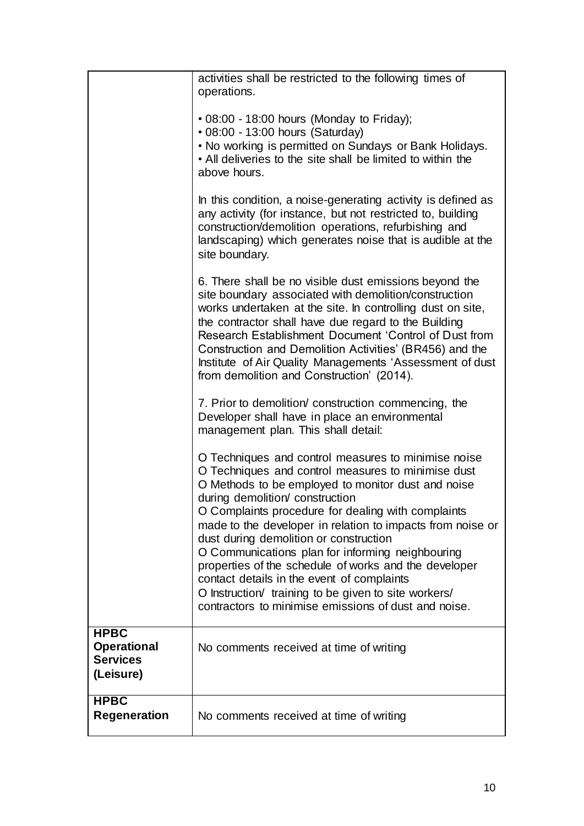|                                                                   | activities shall be restricted to the following times of<br>operations.                                                                                                                                                                                                                                                                                                                                                                                                                                                                                                                                                                     |
|-------------------------------------------------------------------|---------------------------------------------------------------------------------------------------------------------------------------------------------------------------------------------------------------------------------------------------------------------------------------------------------------------------------------------------------------------------------------------------------------------------------------------------------------------------------------------------------------------------------------------------------------------------------------------------------------------------------------------|
|                                                                   | • 08:00 - 18:00 hours (Monday to Friday);<br>• 08:00 - 13:00 hours (Saturday)<br>. No working is permitted on Sundays or Bank Holidays.<br>• All deliveries to the site shall be limited to within the<br>above hours.                                                                                                                                                                                                                                                                                                                                                                                                                      |
|                                                                   | In this condition, a noise-generating activity is defined as<br>any activity (for instance, but not restricted to, building<br>construction/demolition operations, refurbishing and<br>landscaping) which generates noise that is audible at the<br>site boundary.                                                                                                                                                                                                                                                                                                                                                                          |
|                                                                   | 6. There shall be no visible dust emissions beyond the<br>site boundary associated with demolition/construction<br>works undertaken at the site. In controlling dust on site,<br>the contractor shall have due regard to the Building<br>Research Establishment Document 'Control of Dust from<br>Construction and Demolition Activities' (BR456) and the<br>Institute of Air Quality Managements 'Assessment of dust<br>from demolition and Construction' (2014).                                                                                                                                                                          |
|                                                                   | 7. Prior to demolition/ construction commencing, the<br>Developer shall have in place an environmental<br>management plan. This shall detail:                                                                                                                                                                                                                                                                                                                                                                                                                                                                                               |
|                                                                   | O Techniques and control measures to minimise noise<br>O Techniques and control measures to minimise dust<br>O Methods to be employed to monitor dust and noise<br>during demolition/ construction<br>O Complaints procedure for dealing with complaints<br>made to the developer in relation to impacts from noise or<br>dust during demolition or construction<br>O Communications plan for informing neighbouring<br>properties of the schedule of works and the developer<br>contact details in the event of complaints<br>O Instruction/ training to be given to site workers/<br>contractors to minimise emissions of dust and noise. |
| <b>HPBC</b><br><b>Operational</b><br><b>Services</b><br>(Leisure) | No comments received at time of writing                                                                                                                                                                                                                                                                                                                                                                                                                                                                                                                                                                                                     |
| <b>HPBC</b><br><b>Regeneration</b>                                | No comments received at time of writing                                                                                                                                                                                                                                                                                                                                                                                                                                                                                                                                                                                                     |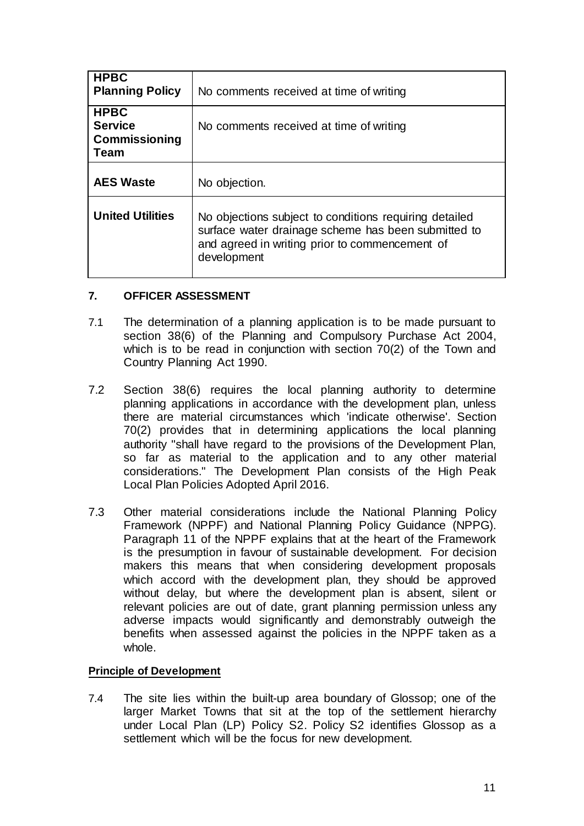| <b>HPBC</b><br><b>Planning Policy</b>                         | No comments received at time of writing                                                                                                                                        |
|---------------------------------------------------------------|--------------------------------------------------------------------------------------------------------------------------------------------------------------------------------|
| <b>HPBC</b><br><b>Service</b><br><b>Commissioning</b><br>Team | No comments received at time of writing                                                                                                                                        |
| <b>AES Waste</b>                                              | No objection.                                                                                                                                                                  |
| <b>United Utilities</b>                                       | No objections subject to conditions requiring detailed<br>surface water drainage scheme has been submitted to<br>and agreed in writing prior to commencement of<br>development |

## **7. OFFICER ASSESSMENT**

- 7.1 The determination of a planning application is to be made pursuant to section 38(6) of the Planning and Compulsory Purchase Act 2004, which is to be read in conjunction with section 70(2) of the Town and Country Planning Act 1990.
- 7.2 Section 38(6) requires the local planning authority to determine planning applications in accordance with the development plan, unless there are material circumstances which 'indicate otherwise'. Section 70(2) provides that in determining applications the local planning authority "shall have regard to the provisions of the Development Plan, so far as material to the application and to any other material considerations." The Development Plan consists of the High Peak Local Plan Policies Adopted April 2016.
- 7.3 Other material considerations include the National Planning Policy Framework (NPPF) and National Planning Policy Guidance (NPPG). Paragraph 11 of the NPPF explains that at the heart of the Framework is the presumption in favour of sustainable development. For decision makers this means that when considering development proposals which accord with the development plan, they should be approved without delay, but where the development plan is absent, silent or relevant policies are out of date, grant planning permission unless any adverse impacts would significantly and demonstrably outweigh the benefits when assessed against the policies in the NPPF taken as a whole.

## **Principle of Development**

7.4 The site lies within the built-up area boundary of Glossop; one of the larger Market Towns that sit at the top of the settlement hierarchy under Local Plan (LP) Policy S2. Policy S2 identifies Glossop as a settlement which will be the focus for new development.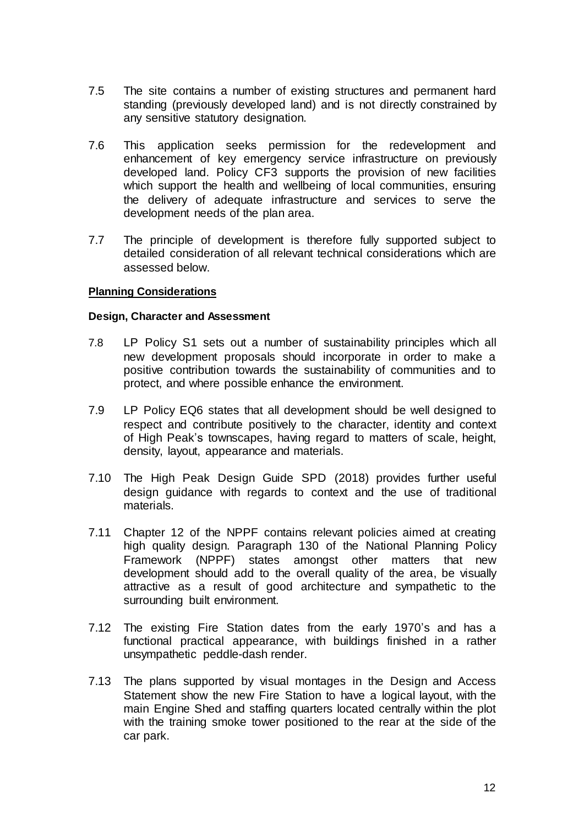- 7.5 The site contains a number of existing structures and permanent hard standing (previously developed land) and is not directly constrained by any sensitive statutory designation.
- 7.6 This application seeks permission for the redevelopment and enhancement of key emergency service infrastructure on previously developed land. Policy CF3 supports the provision of new facilities which support the health and wellbeing of local communities, ensuring the delivery of adequate infrastructure and services to serve the development needs of the plan area.
- 7.7 The principle of development is therefore fully supported subject to detailed consideration of all relevant technical considerations which are assessed below.

#### **Planning Considerations**

#### **Design, Character and Assessment**

- 7.8 LP Policy S1 sets out a number of sustainability principles which all new development proposals should incorporate in order to make a positive contribution towards the sustainability of communities and to protect, and where possible enhance the environment.
- 7.9 LP Policy EQ6 states that all development should be well designed to respect and contribute positively to the character, identity and context of High Peak's townscapes, having regard to matters of scale, height, density, layout, appearance and materials.
- 7.10 The High Peak Design Guide SPD (2018) provides further useful design guidance with regards to context and the use of traditional materials.
- 7.11 Chapter 12 of the NPPF contains relevant policies aimed at creating high quality design. Paragraph 130 of the National Planning Policy Framework (NPPF) states amongst other matters that new development should add to the overall quality of the area, be visually attractive as a result of good architecture and sympathetic to the surrounding built environment.
- 7.12 The existing Fire Station dates from the early 1970's and has a functional practical appearance, with buildings finished in a rather unsympathetic peddle-dash render.
- 7.13 The plans supported by visual montages in the Design and Access Statement show the new Fire Station to have a logical layout, with the main Engine Shed and staffing quarters located centrally within the plot with the training smoke tower positioned to the rear at the side of the car park.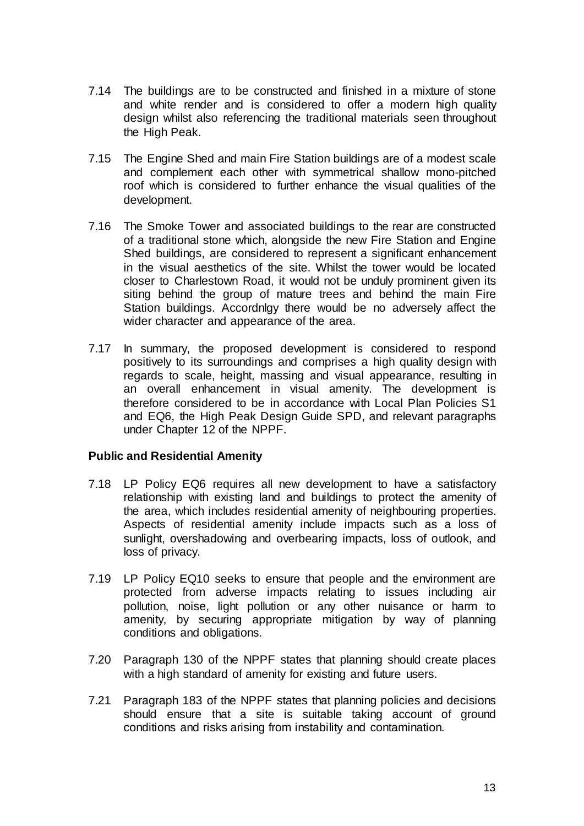- 7.14 The buildings are to be constructed and finished in a mixture of stone and white render and is considered to offer a modern high quality design whilst also referencing the traditional materials seen throughout the High Peak.
- 7.15 The Engine Shed and main Fire Station buildings are of a modest scale and complement each other with symmetrical shallow mono-pitched roof which is considered to further enhance the visual qualities of the development.
- 7.16 The Smoke Tower and associated buildings to the rear are constructed of a traditional stone which, alongside the new Fire Station and Engine Shed buildings, are considered to represent a significant enhancement in the visual aesthetics of the site. Whilst the tower would be located closer to Charlestown Road, it would not be unduly prominent given its siting behind the group of mature trees and behind the main Fire Station buildings. Accordnlgy there would be no adversely affect the wider character and appearance of the area.
- 7.17 In summary, the proposed development is considered to respond positively to its surroundings and comprises a high quality design with regards to scale, height, massing and visual appearance, resulting in an overall enhancement in visual amenity. The development is therefore considered to be in accordance with Local Plan Policies S1 and EQ6, the High Peak Design Guide SPD, and relevant paragraphs under Chapter 12 of the NPPF.

## **Public and Residential Amenity**

- 7.18 LP Policy EQ6 requires all new development to have a satisfactory relationship with existing land and buildings to protect the amenity of the area, which includes residential amenity of neighbouring properties. Aspects of residential amenity include impacts such as a loss of sunlight, overshadowing and overbearing impacts, loss of outlook, and loss of privacy.
- 7.19 LP Policy EQ10 seeks to ensure that people and the environment are protected from adverse impacts relating to issues including air pollution, noise, light pollution or any other nuisance or harm to amenity, by securing appropriate mitigation by way of planning conditions and obligations.
- 7.20 Paragraph 130 of the NPPF states that planning should create places with a high standard of amenity for existing and future users.
- 7.21 Paragraph 183 of the NPPF states that planning policies and decisions should ensure that a site is suitable taking account of ground conditions and risks arising from instability and contamination.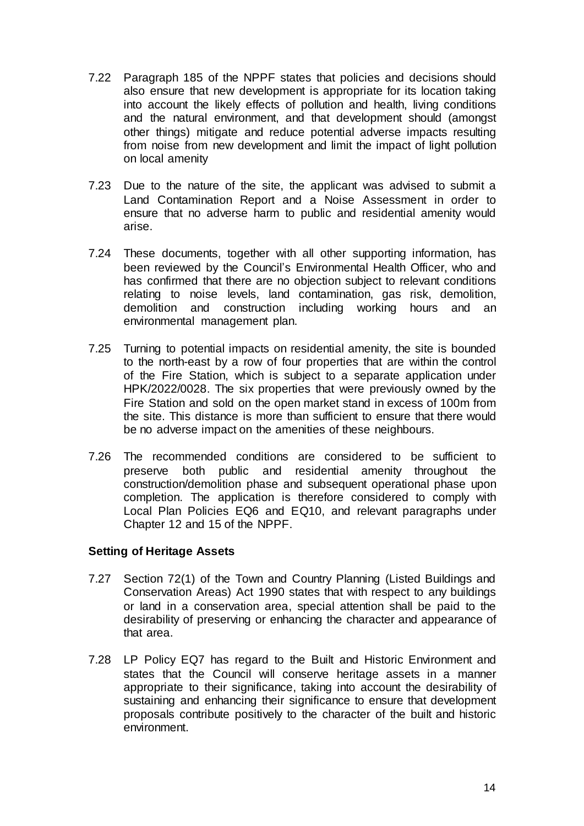- 7.22 Paragraph 185 of the NPPF states that policies and decisions should also ensure that new development is appropriate for its location taking into account the likely effects of pollution and health, living conditions and the natural environment, and that development should (amongst other things) mitigate and reduce potential adverse impacts resulting from noise from new development and limit the impact of light pollution on local amenity
- 7.23 Due to the nature of the site, the applicant was advised to submit a Land Contamination Report and a Noise Assessment in order to ensure that no adverse harm to public and residential amenity would arise.
- 7.24 These documents, together with all other supporting information, has been reviewed by the Council's Environmental Health Officer, who and has confirmed that there are no objection subject to relevant conditions relating to noise levels, land contamination, gas risk, demolition, demolition and construction including working hours and an environmental management plan.
- 7.25 Turning to potential impacts on residential amenity, the site is bounded to the north-east by a row of four properties that are within the control of the Fire Station, which is subject to a separate application under HPK/2022/0028. The six properties that were previously owned by the Fire Station and sold on the open market stand in excess of 100m from the site. This distance is more than sufficient to ensure that there would be no adverse impact on the amenities of these neighbours.
- 7.26 The recommended conditions are considered to be sufficient to preserve both public and residential amenity throughout the construction/demolition phase and subsequent operational phase upon completion. The application is therefore considered to comply with Local Plan Policies EQ6 and EQ10, and relevant paragraphs under Chapter 12 and 15 of the NPPF.

## **Setting of Heritage Assets**

- 7.27 Section 72(1) of the Town and Country Planning (Listed Buildings and Conservation Areas) Act 1990 states that with respect to any buildings or land in a conservation area, special attention shall be paid to the desirability of preserving or enhancing the character and appearance of that area.
- 7.28 LP Policy EQ7 has regard to the Built and Historic Environment and states that the Council will conserve heritage assets in a manner appropriate to their significance, taking into account the desirability of sustaining and enhancing their significance to ensure that development proposals contribute positively to the character of the built and historic environment.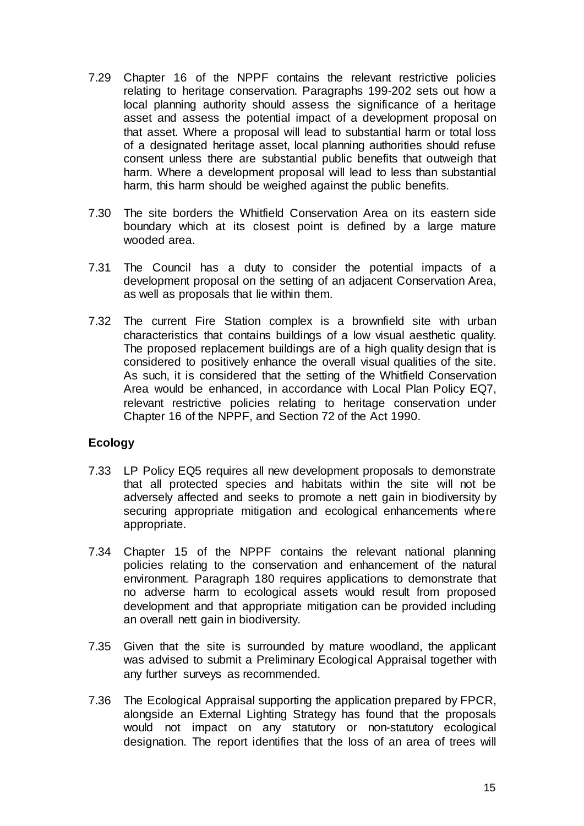- 7.29 Chapter 16 of the NPPF contains the relevant restrictive policies relating to heritage conservation. Paragraphs 199-202 sets out how a local planning authority should assess the significance of a heritage asset and assess the potential impact of a development proposal on that asset. Where a proposal will lead to substantial harm or total loss of a designated heritage asset, local planning authorities should refuse consent unless there are substantial public benefits that outweigh that harm. Where a development proposal will lead to less than substantial harm, this harm should be weighed against the public benefits.
- 7.30 The site borders the Whitfield Conservation Area on its eastern side boundary which at its closest point is defined by a large mature wooded area.
- 7.31 The Council has a duty to consider the potential impacts of a development proposal on the setting of an adjacent Conservation Area, as well as proposals that lie within them.
- 7.32 The current Fire Station complex is a brownfield site with urban characteristics that contains buildings of a low visual aesthetic quality. The proposed replacement buildings are of a high quality design that is considered to positively enhance the overall visual qualities of the site. As such, it is considered that the setting of the Whitfield Conservation Area would be enhanced, in accordance with Local Plan Policy EQ7, relevant restrictive policies relating to heritage conservation under Chapter 16 of the NPPF, and Section 72 of the Act 1990.

# **Ecology**

- 7.33 LP Policy EQ5 requires all new development proposals to demonstrate that all protected species and habitats within the site will not be adversely affected and seeks to promote a nett gain in biodiversity by securing appropriate mitigation and ecological enhancements where appropriate.
- 7.34 Chapter 15 of the NPPF contains the relevant national planning policies relating to the conservation and enhancement of the natural environment. Paragraph 180 requires applications to demonstrate that no adverse harm to ecological assets would result from proposed development and that appropriate mitigation can be provided including an overall nett gain in biodiversity.
- 7.35 Given that the site is surrounded by mature woodland, the applicant was advised to submit a Preliminary Ecological Appraisal together with any further surveys as recommended.
- 7.36 The Ecological Appraisal supporting the application prepared by FPCR, alongside an External Lighting Strategy has found that the proposals would not impact on any statutory or non-statutory ecological designation. The report identifies that the loss of an area of trees will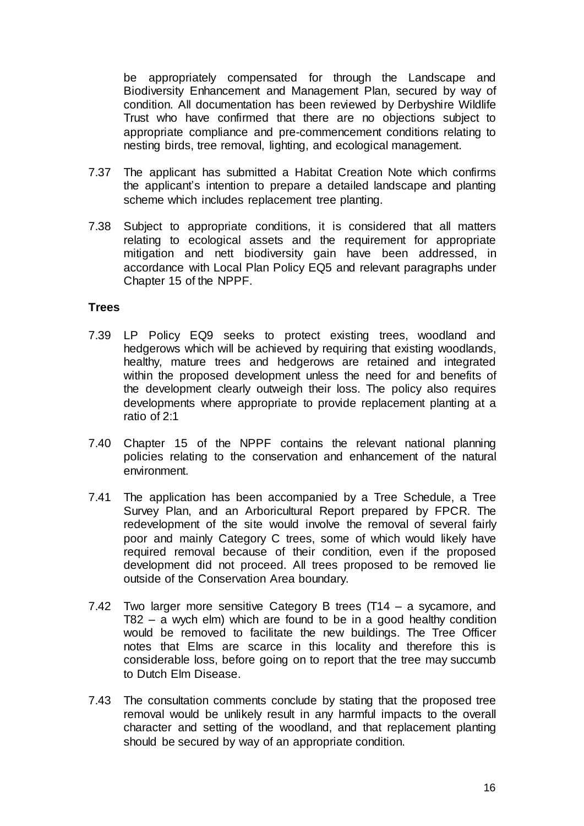be appropriately compensated for through the Landscape and Biodiversity Enhancement and Management Plan, secured by way of condition. All documentation has been reviewed by Derbyshire Wildlife Trust who have confirmed that there are no objections subject to appropriate compliance and pre-commencement conditions relating to nesting birds, tree removal, lighting, and ecological management.

- 7.37 The applicant has submitted a Habitat Creation Note which confirms the applicant's intention to prepare a detailed landscape and planting scheme which includes replacement tree planting.
- 7.38 Subject to appropriate conditions, it is considered that all matters relating to ecological assets and the requirement for appropriate mitigation and nett biodiversity gain have been addressed, in accordance with Local Plan Policy EQ5 and relevant paragraphs under Chapter 15 of the NPPF.

#### **Trees**

- 7.39 LP Policy EQ9 seeks to protect existing trees, woodland and hedgerows which will be achieved by requiring that existing woodlands, healthy, mature trees and hedgerows are retained and integrated within the proposed development unless the need for and benefits of the development clearly outweigh their loss. The policy also requires developments where appropriate to provide replacement planting at a ratio of 2:1
- 7.40 Chapter 15 of the NPPF contains the relevant national planning policies relating to the conservation and enhancement of the natural environment.
- 7.41 The application has been accompanied by a Tree Schedule, a Tree Survey Plan, and an Arboricultural Report prepared by FPCR. The redevelopment of the site would involve the removal of several fairly poor and mainly Category C trees, some of which would likely have required removal because of their condition, even if the proposed development did not proceed. All trees proposed to be removed lie outside of the Conservation Area boundary.
- 7.42 Two larger more sensitive Category B trees (T14 a sycamore, and T82 – a wych elm) which are found to be in a good healthy condition would be removed to facilitate the new buildings. The Tree Officer notes that Elms are scarce in this locality and therefore this is considerable loss, before going on to report that the tree may succumb to Dutch Elm Disease.
- 7.43 The consultation comments conclude by stating that the proposed tree removal would be unlikely result in any harmful impacts to the overall character and setting of the woodland, and that replacement planting should be secured by way of an appropriate condition.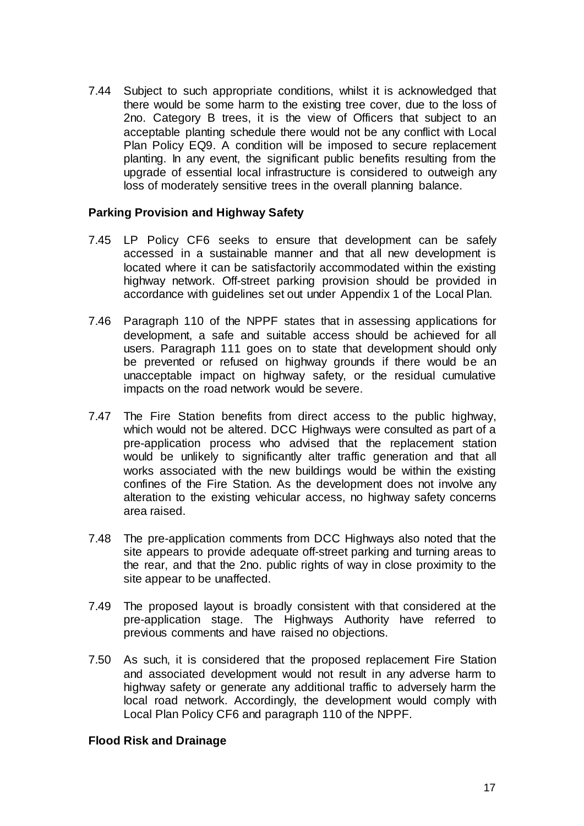7.44 Subject to such appropriate conditions, whilst it is acknowledged that there would be some harm to the existing tree cover, due to the loss of 2no. Category B trees, it is the view of Officers that subject to an acceptable planting schedule there would not be any conflict with Local Plan Policy EQ9. A condition will be imposed to secure replacement planting. In any event, the significant public benefits resulting from the upgrade of essential local infrastructure is considered to outweigh any loss of moderately sensitive trees in the overall planning balance.

#### **Parking Provision and Highway Safety**

- 7.45 LP Policy CF6 seeks to ensure that development can be safely accessed in a sustainable manner and that all new development is located where it can be satisfactorily accommodated within the existing highway network. Off-street parking provision should be provided in accordance with guidelines set out under Appendix 1 of the Local Plan.
- 7.46 Paragraph 110 of the NPPF states that in assessing applications for development, a safe and suitable access should be achieved for all users. Paragraph 111 goes on to state that development should only be prevented or refused on highway grounds if there would be an unacceptable impact on highway safety, or the residual cumulative impacts on the road network would be severe.
- 7.47 The Fire Station benefits from direct access to the public highway, which would not be altered. DCC Highways were consulted as part of a pre-application process who advised that the replacement station would be unlikely to significantly alter traffic generation and that all works associated with the new buildings would be within the existing confines of the Fire Station. As the development does not involve any alteration to the existing vehicular access, no highway safety concerns area raised.
- 7.48 The pre-application comments from DCC Highways also noted that the site appears to provide adequate off-street parking and turning areas to the rear, and that the 2no. public rights of way in close proximity to the site appear to be unaffected.
- 7.49 The proposed layout is broadly consistent with that considered at the pre-application stage. The Highways Authority have referred to previous comments and have raised no objections.
- 7.50 As such, it is considered that the proposed replacement Fire Station and associated development would not result in any adverse harm to highway safety or generate any additional traffic to adversely harm the local road network. Accordingly, the development would comply with Local Plan Policy CF6 and paragraph 110 of the NPPF.

## **Flood Risk and Drainage**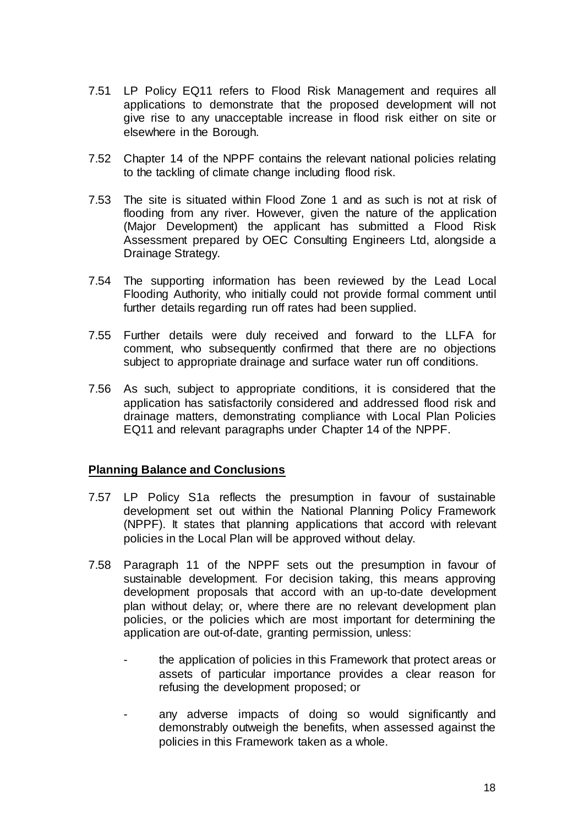- 7.51 LP Policy EQ11 refers to Flood Risk Management and requires all applications to demonstrate that the proposed development will not give rise to any unacceptable increase in flood risk either on site or elsewhere in the Borough.
- 7.52 Chapter 14 of the NPPF contains the relevant national policies relating to the tackling of climate change including flood risk.
- 7.53 The site is situated within Flood Zone 1 and as such is not at risk of flooding from any river. However, given the nature of the application (Major Development) the applicant has submitted a Flood Risk Assessment prepared by OEC Consulting Engineers Ltd, alongside a Drainage Strategy.
- 7.54 The supporting information has been reviewed by the Lead Local Flooding Authority, who initially could not provide formal comment until further details regarding run off rates had been supplied.
- 7.55 Further details were duly received and forward to the LLFA for comment, who subsequently confirmed that there are no objections subject to appropriate drainage and surface water run off conditions.
- 7.56 As such, subject to appropriate conditions, it is considered that the application has satisfactorily considered and addressed flood risk and drainage matters, demonstrating compliance with Local Plan Policies EQ11 and relevant paragraphs under Chapter 14 of the NPPF.

## **Planning Balance and Conclusions**

- 7.57 LP Policy S1a reflects the presumption in favour of sustainable development set out within the National Planning Policy Framework (NPPF). It states that planning applications that accord with relevant policies in the Local Plan will be approved without delay.
- 7.58 Paragraph 11 of the NPPF sets out the presumption in favour of sustainable development. For decision taking, this means approving development proposals that accord with an up-to-date development plan without delay; or, where there are no relevant development plan policies, or the policies which are most important for determining the application are out-of-date, granting permission, unless:
	- the application of policies in this Framework that protect areas or assets of particular importance provides a clear reason for refusing the development proposed; or
	- any adverse impacts of doing so would significantly and demonstrably outweigh the benefits, when assessed against the policies in this Framework taken as a whole.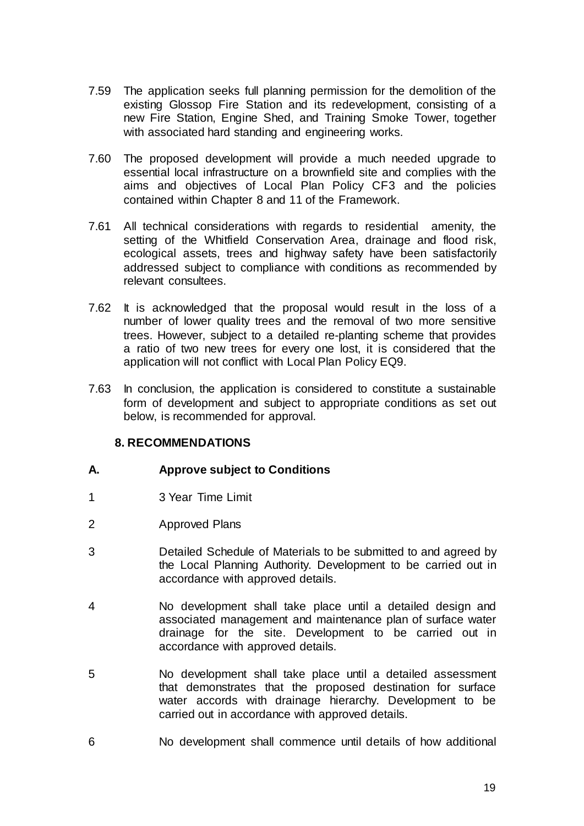- 7.59 The application seeks full planning permission for the demolition of the existing Glossop Fire Station and its redevelopment, consisting of a new Fire Station, Engine Shed, and Training Smoke Tower, together with associated hard standing and engineering works.
- 7.60 The proposed development will provide a much needed upgrade to essential local infrastructure on a brownfield site and complies with the aims and objectives of Local Plan Policy CF3 and the policies contained within Chapter 8 and 11 of the Framework.
- 7.61 All technical considerations with regards to residential amenity, the setting of the Whitfield Conservation Area, drainage and flood risk, ecological assets, trees and highway safety have been satisfactorily addressed subject to compliance with conditions as recommended by relevant consultees.
- 7.62 It is acknowledged that the proposal would result in the loss of a number of lower quality trees and the removal of two more sensitive trees. However, subject to a detailed re-planting scheme that provides a ratio of two new trees for every one lost, it is considered that the application will not conflict with Local Plan Policy EQ9.
- 7.63 In conclusion, the application is considered to constitute a sustainable form of development and subject to appropriate conditions as set out below, is recommended for approval.

# **8. RECOMMENDATIONS**

# **A. Approve subject to Conditions**

- 1 3 Year Time Limit
- 2 Approved Plans
- 3 Detailed Schedule of Materials to be submitted to and agreed by the Local Planning Authority. Development to be carried out in accordance with approved details.
- 4 No development shall take place until a detailed design and associated management and maintenance plan of surface water drainage for the site. Development to be carried out in accordance with approved details.
- 5 No development shall take place until a detailed assessment that demonstrates that the proposed destination for surface water accords with drainage hierarchy. Development to be carried out in accordance with approved details.
- 6 No development shall commence until details of how additional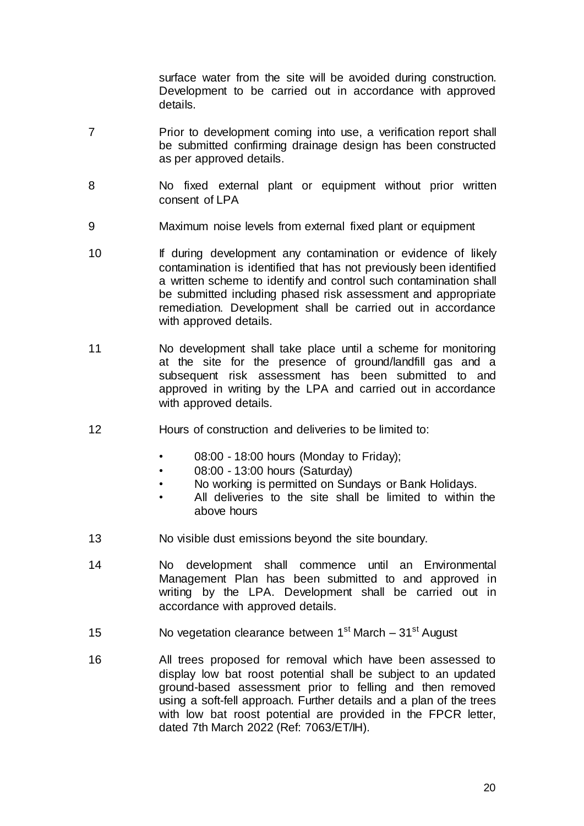surface water from the site will be avoided during construction. Development to be carried out in accordance with approved details.

- 7 Prior to development coming into use, a verification report shall be submitted confirming drainage design has been constructed as per approved details.
- 8 No fixed external plant or equipment without prior written consent of LPA
- 9 Maximum noise levels from external fixed plant or equipment
- 10 **If during development any contamination or evidence of likely** contamination is identified that has not previously been identified a written scheme to identify and control such contamination shall be submitted including phased risk assessment and appropriate remediation. Development shall be carried out in accordance with approved details.
- 11 No development shall take place until a scheme for monitoring at the site for the presence of ground/landfill gas and a subsequent risk assessment has been submitted to and approved in writing by the LPA and carried out in accordance with approved details.
- 12 Hours of construction and deliveries to be limited to:
	- 08:00 18:00 hours (Monday to Friday);
	- 08:00 13:00 hours (Saturday)
	- No working is permitted on Sundays or Bank Holidays.
	- All deliveries to the site shall be limited to within the above hours
- 13 No visible dust emissions beyond the site boundary.
- 14 No development shall commence until an Environmental Management Plan has been submitted to and approved in writing by the LPA. Development shall be carried out in accordance with approved details.
- 15 Novegetation clearance between 1<sup>st</sup> March 31<sup>st</sup> August
- 16 All trees proposed for removal which have been assessed to display low bat roost potential shall be subject to an updated ground-based assessment prior to felling and then removed using a soft-fell approach. Further details and a plan of the trees with low bat roost potential are provided in the FPCR letter, dated 7th March 2022 (Ref: 7063/ET/IH).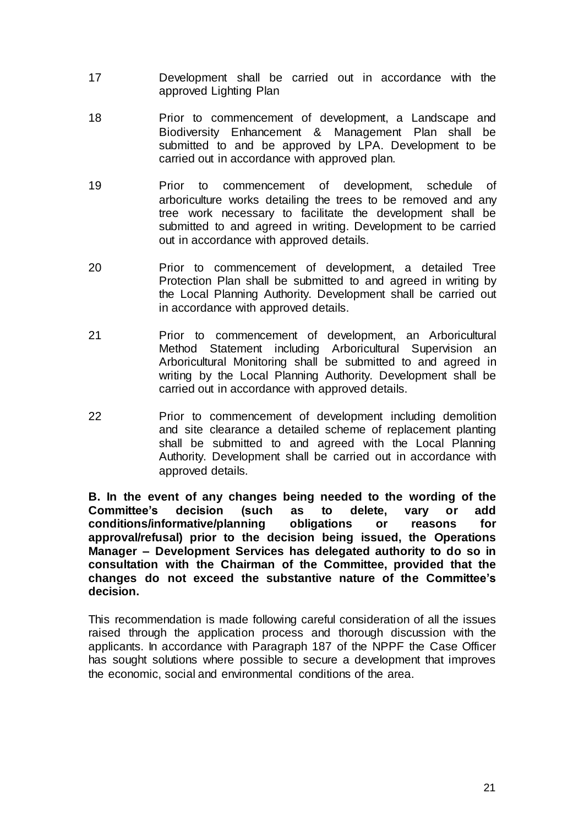- 17 Development shall be carried out in accordance with the approved Lighting Plan
- 18 Prior to commencement of development, a Landscape and Biodiversity Enhancement & Management Plan shall be submitted to and be approved by LPA. Development to be carried out in accordance with approved plan.
- 19 Prior to commencement of development, schedule of arboriculture works detailing the trees to be removed and any tree work necessary to facilitate the development shall be submitted to and agreed in writing. Development to be carried out in accordance with approved details.
- 20 Prior to commencement of development, a detailed Tree Protection Plan shall be submitted to and agreed in writing by the Local Planning Authority. Development shall be carried out in accordance with approved details.
- 21 Prior to commencement of development, an Arboricultural Method Statement including Arboricultural Supervision an Arboricultural Monitoring shall be submitted to and agreed in writing by the Local Planning Authority. Development shall be carried out in accordance with approved details.
- 22 Prior to commencement of development including demolition and site clearance a detailed scheme of replacement planting shall be submitted to and agreed with the Local Planning Authority. Development shall be carried out in accordance with approved details.

**B. In the event of any changes being needed to the wording of the Committee's decision (such as to delete, vary or add conditions/informative/planning obligations or reasons for approval/refusal) prior to the decision being issued, the Operations Manager – Development Services has delegated authority to do so in consultation with the Chairman of the Committee, provided that the changes do not exceed the substantive nature of the Committee's decision.**

This recommendation is made following careful consideration of all the issues raised through the application process and thorough discussion with the applicants. In accordance with Paragraph 187 of the NPPF the Case Officer has sought solutions where possible to secure a development that improves the economic, social and environmental conditions of the area.